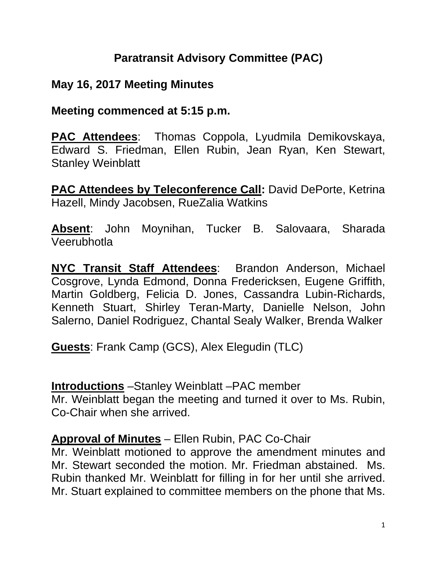### **Paratransit Advisory Committee (PAC)**

### **May 16, 2017 Meeting Minutes**

#### **Meeting commenced at 5:15 p.m.**

**PAC Attendees**: Thomas Coppola, Lyudmila Demikovskaya, Edward S. Friedman, Ellen Rubin, Jean Ryan, Ken Stewart, Stanley Weinblatt

**PAC Attendees by Teleconference Call: David DePorte, Ketrina** Hazell, Mindy Jacobsen, RueZalia Watkins

**Absent**: John Moynihan, Tucker B. Salovaara, Sharada Veerubhotla

**NYC Transit Staff Attendees**: Brandon Anderson, Michael Cosgrove, Lynda Edmond, Donna Fredericksen, Eugene Griffith, Martin Goldberg, Felicia D. Jones, Cassandra Lubin-Richards, Kenneth Stuart, Shirley Teran-Marty, Danielle Nelson, John Salerno, Daniel Rodriguez, Chantal Sealy Walker, Brenda Walker

**Guests**: Frank Camp (GCS), Alex Elegudin (TLC)

#### **Introductions** –Stanley Weinblatt –PAC member

Mr. Weinblatt began the meeting and turned it over to Ms. Rubin, Co-Chair when she arrived.

#### **Approval of Minutes** – Ellen Rubin, PAC Co-Chair

Mr. Weinblatt motioned to approve the amendment minutes and Mr. Stewart seconded the motion. Mr. Friedman abstained. Ms. Rubin thanked Mr. Weinblatt for filling in for her until she arrived. Mr. Stuart explained to committee members on the phone that Ms.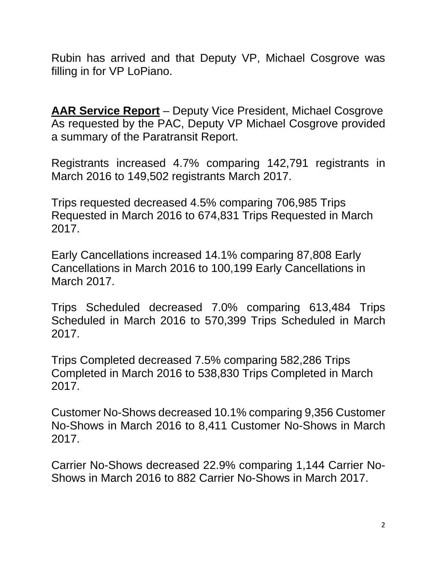Rubin has arrived and that Deputy VP, Michael Cosgrove was filling in for VP LoPiano.

**AAR Service Report** – Deputy Vice President, Michael Cosgrove As requested by the PAC, Deputy VP Michael Cosgrove provided a summary of the Paratransit Report.

Registrants increased 4.7% comparing 142,791 registrants in March 2016 to 149,502 registrants March 2017.

Trips requested decreased 4.5% comparing 706,985 Trips Requested in March 2016 to 674,831 Trips Requested in March 2017.

Early Cancellations increased 14.1% comparing 87,808 Early Cancellations in March 2016 to 100,199 Early Cancellations in March 2017.

Trips Scheduled decreased 7.0% comparing 613,484 Trips Scheduled in March 2016 to 570,399 Trips Scheduled in March 2017.

Trips Completed decreased 7.5% comparing 582,286 Trips Completed in March 2016 to 538,830 Trips Completed in March 2017.

Customer No-Shows decreased 10.1% comparing 9,356 Customer No-Shows in March 2016 to 8,411 Customer No-Shows in March 2017.

Carrier No-Shows decreased 22.9% comparing 1,144 Carrier No-Shows in March 2016 to 882 Carrier No-Shows in March 2017.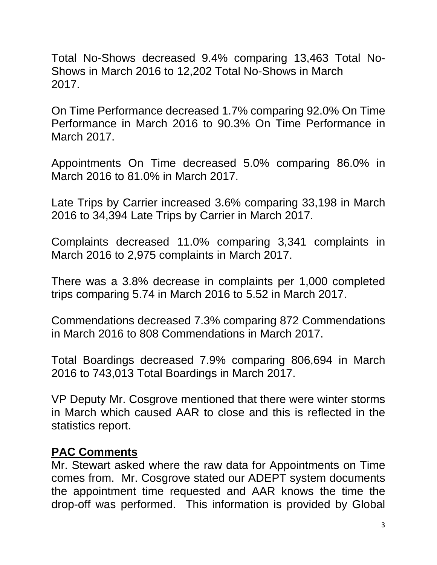Total No-Shows decreased 9.4% comparing 13,463 Total No-Shows in March 2016 to 12,202 Total No-Shows in March 2017.

On Time Performance decreased 1.7% comparing 92.0% On Time Performance in March 2016 to 90.3% On Time Performance in March 2017.

Appointments On Time decreased 5.0% comparing 86.0% in March 2016 to 81.0% in March 2017.

Late Trips by Carrier increased 3.6% comparing 33,198 in March 2016 to 34,394 Late Trips by Carrier in March 2017.

Complaints decreased 11.0% comparing 3,341 complaints in March 2016 to 2,975 complaints in March 2017.

There was a 3.8% decrease in complaints per 1,000 completed trips comparing 5.74 in March 2016 to 5.52 in March 2017.

Commendations decreased 7.3% comparing 872 Commendations in March 2016 to 808 Commendations in March 2017.

Total Boardings decreased 7.9% comparing 806,694 in March 2016 to 743,013 Total Boardings in March 2017.

VP Deputy Mr. Cosgrove mentioned that there were winter storms in March which caused AAR to close and this is reflected in the statistics report.

#### **PAC Comments**

Mr. Stewart asked where the raw data for Appointments on Time comes from. Mr. Cosgrove stated our ADEPT system documents the appointment time requested and AAR knows the time the drop-off was performed. This information is provided by Global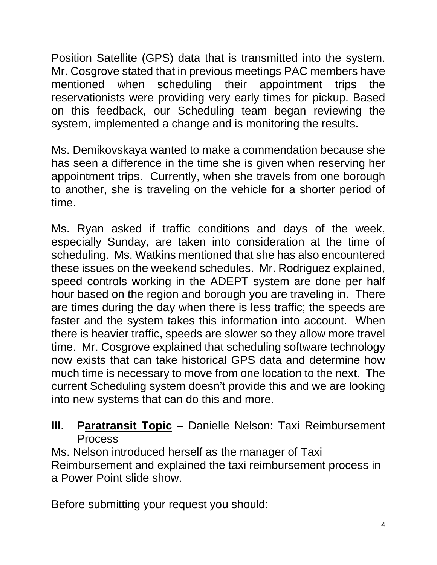Position Satellite (GPS) data that is transmitted into the system. Mr. Cosgrove stated that in previous meetings PAC members have mentioned when scheduling their appointment trips the reservationists were providing very early times for pickup. Based on this feedback, our Scheduling team began reviewing the system, implemented a change and is monitoring the results.

Ms. Demikovskaya wanted to make a commendation because she has seen a difference in the time she is given when reserving her appointment trips. Currently, when she travels from one borough to another, she is traveling on the vehicle for a shorter period of time.

Ms. Ryan asked if traffic conditions and days of the week, especially Sunday, are taken into consideration at the time of scheduling. Ms. Watkins mentioned that she has also encountered these issues on the weekend schedules. Mr. Rodriguez explained, speed controls working in the ADEPT system are done per half hour based on the region and borough you are traveling in. There are times during the day when there is less traffic; the speeds are faster and the system takes this information into account. When there is heavier traffic, speeds are slower so they allow more travel time. Mr. Cosgrove explained that scheduling software technology now exists that can take historical GPS data and determine how much time is necessary to move from one location to the next. The current Scheduling system doesn't provide this and we are looking into new systems that can do this and more.

### **III. Paratransit Topic** – Danielle Nelson: Taxi Reimbursement Process

Ms. Nelson introduced herself as the manager of Taxi Reimbursement and explained the taxi reimbursement process in a Power Point slide show.

Before submitting your request you should: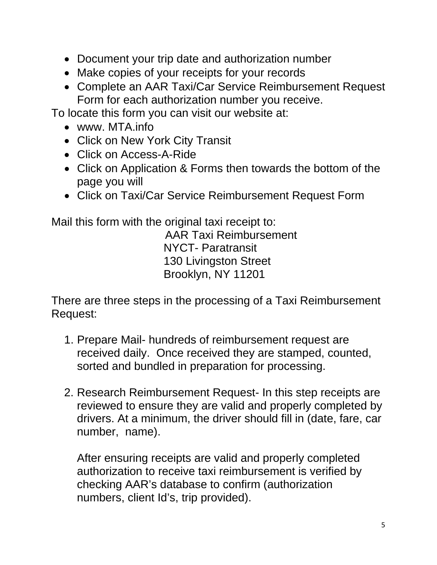- Document your trip date and authorization number
- Make copies of your receipts for your records
- Complete an AAR Taxi/Car Service Reimbursement Request Form for each authorization number you receive.

To locate this form you can visit our website at:

- www. MTA.info
- Click on New York City Transit
- Click on Access-A-Ride
- Click on Application & Forms then towards the bottom of the page you will
- Click on Taxi/Car Service Reimbursement Request Form

Mail this form with the original taxi receipt to:

AAR Taxi Reimbursement NYCT- Paratransit 130 Livingston Street Brooklyn, NY 11201

There are three steps in the processing of a Taxi Reimbursement Request:

- 1. Prepare Mail- hundreds of reimbursement request are received daily. Once received they are stamped, counted, sorted and bundled in preparation for processing.
- 2. Research Reimbursement Request- In this step receipts are reviewed to ensure they are valid and properly completed by drivers. At a minimum, the driver should fill in (date, fare, car number, name).

After ensuring receipts are valid and properly completed authorization to receive taxi reimbursement is verified by checking AAR's database to confirm (authorization numbers, client Id's, trip provided).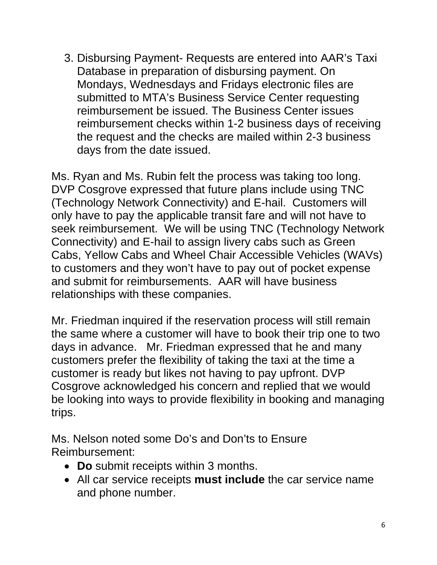3. Disbursing Payment- Requests are entered into AAR's Taxi Database in preparation of disbursing payment. On Mondays, Wednesdays and Fridays electronic files are submitted to MTA's Business Service Center requesting reimbursement be issued. The Business Center issues reimbursement checks within 1-2 business days of receiving the request and the checks are mailed within 2-3 business days from the date issued.

Ms. Ryan and Ms. Rubin felt the process was taking too long. DVP Cosgrove expressed that future plans include using TNC (Technology Network Connectivity) and E-hail. Customers will only have to pay the applicable transit fare and will not have to seek reimbursement. We will be using TNC (Technology Network Connectivity) and E-hail to assign livery cabs such as Green Cabs, Yellow Cabs and Wheel Chair Accessible Vehicles (WAVs) to customers and they won't have to pay out of pocket expense and submit for reimbursements. AAR will have business relationships with these companies.

Mr. Friedman inquired if the reservation process will still remain the same where a customer will have to book their trip one to two days in advance. Mr. Friedman expressed that he and many customers prefer the flexibility of taking the taxi at the time a customer is ready but likes not having to pay upfront. DVP Cosgrove acknowledged his concern and replied that we would be looking into ways to provide flexibility in booking and managing trips.

Ms. Nelson noted some Do's and Don'ts to Ensure Reimbursement:

- **Do** submit receipts within 3 months.
- All car service receipts **must include** the car service name and phone number.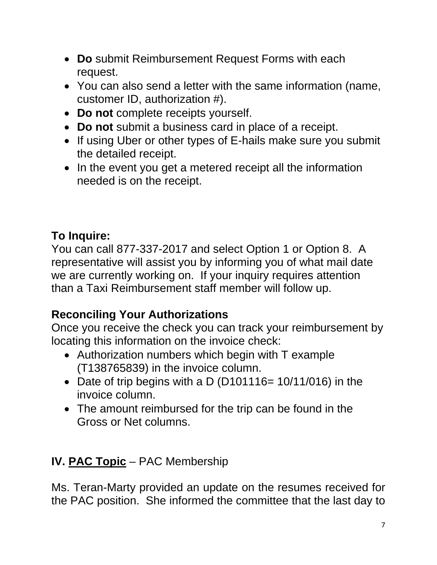- **Do** submit Reimbursement Request Forms with each request.
- You can also send a letter with the same information (name, customer ID, authorization #).
- **Do not** complete receipts yourself.
- **Do not** submit a business card in place of a receipt.
- If using Uber or other types of E-hails make sure you submit the detailed receipt.
- In the event you get a metered receipt all the information needed is on the receipt.

# **To Inquire:**

You can call 877-337-2017 and select Option 1 or Option 8. A representative will assist you by informing you of what mail date we are currently working on. If your inquiry requires attention than a Taxi Reimbursement staff member will follow up.

# **Reconciling Your Authorizations**

Once you receive the check you can track your reimbursement by locating this information on the invoice check:

- Authorization numbers which begin with T example (T138765839) in the invoice column.
- Date of trip begins with a D (D101116= 10/11/016) in the invoice column.
- The amount reimbursed for the trip can be found in the Gross or Net columns.

# **IV. PAC Topic** – PAC Membership

Ms. Teran-Marty provided an update on the resumes received for the PAC position. She informed the committee that the last day to